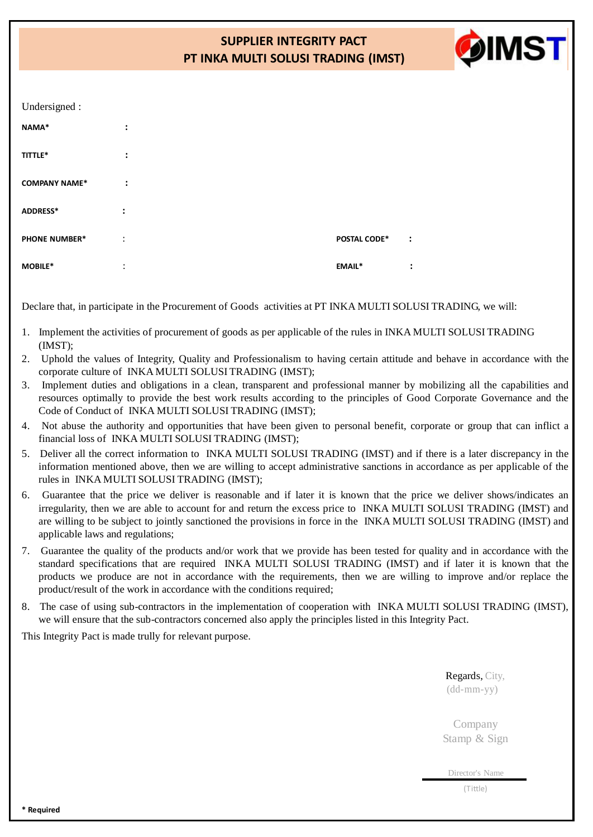# **SUPPLIER INTEGRITY PACT PT INKA MULTI SOLUSI TRADING (IMST)**



| Undersigned :        |                      |                     |                |
|----------------------|----------------------|---------------------|----------------|
| NAMA*                | $\ddot{\phantom{a}}$ |                     |                |
| TITTLE*              | $\ddot{\cdot}$       |                     |                |
| <b>COMPANY NAME*</b> | $\ddot{\cdot}$       |                     |                |
| ADDRESS*             | $\ddot{\phantom{a}}$ |                     |                |
| <b>PHONE NUMBER*</b> | $\ddot{\cdot}$       | <b>POSTAL CODE*</b> | $\ddot{\cdot}$ |
| MOBILE*              | ٠<br>$\bullet$       | <b>EMAIL*</b>       | $\ddot{\cdot}$ |

Declare that, in participate in the Procurement of Goods activities at PT INKA MULTI SOLUSI TRADING, we will:

- 1. Implement the activities of procurement of goods as per applicable of the rules in INKA MULTI SOLUSI TRADING (IMST);
- 2. Uphold the values of Integrity, Quality and Professionalism to having certain attitude and behave in accordance with the corporate culture of INKA MULTI SOLUSI TRADING (IMST);
- 3. Implement duties and obligations in a clean, transparent and professional manner by mobilizing all the capabilities and resources optimally to provide the best work results according to the principles of Good Corporate Governance and the Code of Conduct of INKA MULTI SOLUSI TRADING (IMST);
- 4. Not abuse the authority and opportunities that have been given to personal benefit, corporate or group that can inflict a financial loss of INKA MULTI SOLUSI TRADING (IMST);
- 5. Deliver all the correct information to INKA MULTI SOLUSI TRADING (IMST) and if there is a later discrepancy in the information mentioned above, then we are willing to accept administrative sanctions in accordance as per applicable of the rules in INKA MULTI SOLUSI TRADING (IMST);
- 6. Guarantee that the price we deliver is reasonable and if later it is known that the price we deliver shows/indicates an irregularity, then we are able to account for and return the excess price to INKA MULTI SOLUSI TRADING (IMST) and are willing to be subject to jointly sanctioned the provisions in force in the INKA MULTI SOLUSI TRADING (IMST) and applicable laws and regulations;
- 7. Guarantee the quality of the products and/or work that we provide has been tested for quality and in accordance with the standard specifications that are required INKA MULTI SOLUSI TRADING (IMST) and if later it is known that the products we produce are not in accordance with the requirements, then we are willing to improve and/or replace the product/result of the work in accordance with the conditions required;
- 8. The case of using sub-contractors in the implementation of cooperation with INKA MULTI SOLUSI TRADING (IMST), we will ensure that the sub-contractors concerned also apply the principles listed in this Integrity Pact.

This Integrity Pact is made trully for relevant purpose.

Regards, City, (dd-mm-yy)

Company Stamp & Sign

Director's Name

(Tittle)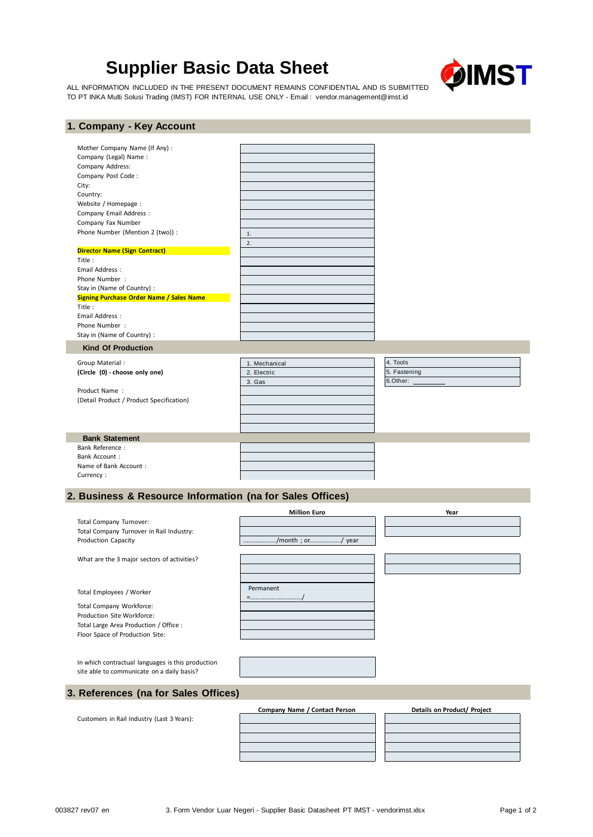# **Supplier Basic Data Sheet**



ALL INFORMATION INCLUDED IN THE PRESENT DOCUMENT REMAINS CONFIDENTIAL AND IS SUBMITTED TO PT INKA Multi Solusi Trading (IMST) FOR INTERNAL USE ONLY - Email : vendo[r.management@imst.id](mailto:management@imst.id)

## **1. Company - Key Account**

| Mother Company Name (If Any) :                  |               |              |
|-------------------------------------------------|---------------|--------------|
| Company (Legal) Name:                           |               |              |
| Company Address:                                |               |              |
| Company Post Code:                              |               |              |
| City:                                           |               |              |
| Country:                                        |               |              |
| Website / Homepage:                             |               |              |
| Company Email Address :                         |               |              |
| Company Fax Number                              |               |              |
| Phone Number (Mention 2 (two)) :                | 1.            |              |
|                                                 | 2.            |              |
| <b>Director Name (Sign Contract)</b>            |               |              |
| Title:                                          |               |              |
| Email Address:                                  |               |              |
| Phone Number:                                   |               |              |
| Stay in (Name of Country) :                     |               |              |
| <b>Signing Purchase Order Name / Sales Name</b> |               |              |
| Title:                                          |               |              |
| Email Address:                                  |               |              |
| Phone Number:                                   |               |              |
| Stay in (Name of Country) :                     |               |              |
| <b>Kind Of Production</b>                       |               |              |
| Group Material :                                | 1. Mechanical | 4. Tools     |
| (Circle (0) - choose only one)                  | 2. Electric   | 5. Fastening |
|                                                 | 3. Gas        | 6.Other:     |
| Product Name:                                   |               |              |
| (Detail Product / Product Specification)        |               |              |
|                                                 |               |              |
|                                                 |               |              |
|                                                 |               |              |
| <b>Bank Statement</b>                           |               |              |
| <b>Bank Reference:</b>                          |               |              |
| <b>Bank Account:</b>                            |               |              |
| Name of Bank Account:                           |               |              |
| Currency:                                       |               |              |
|                                                 |               |              |

### **2. Business & Resource Information (na for Sales Offices)**

|                                                                                                 | <b>Million Euro</b>           | Year                        |
|-------------------------------------------------------------------------------------------------|-------------------------------|-----------------------------|
| Total Company Turnover:                                                                         |                               |                             |
| Total Company Turnover in Rail Industry:                                                        |                               |                             |
| <b>Production Capacity</b>                                                                      | /month; or/ year              |                             |
| What are the 3 major sectors of activities?                                                     |                               |                             |
| Total Employees / Worker                                                                        | Permanent                     |                             |
| Total Company Workforce:                                                                        |                               |                             |
| Production Site Workforce:                                                                      |                               |                             |
| Total Large Area Production / Office :                                                          |                               |                             |
| Floor Space of Production Site:                                                                 |                               |                             |
| In which contractual languages is this production<br>site able to communicate on a daily basis? |                               |                             |
| 3. References (na for Sales Offices)                                                            |                               |                             |
| Customers in Rail Industry (Last 3 Years):                                                      | Company Name / Contact Person | Details on Product/ Project |